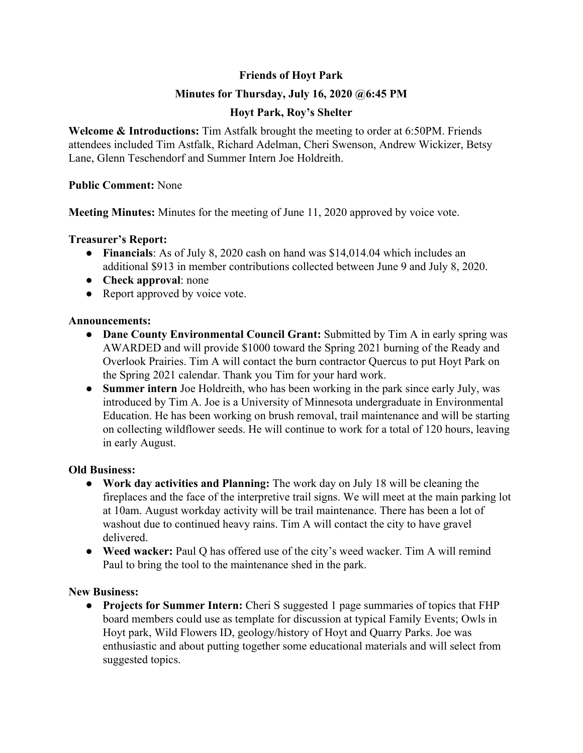# **Friends of Hoyt Park**

# **Minutes for Thursday, July 16, 2020 @6:45 PM**

# **Hoyt Park, Roy's Shelter**

**Welcome & Introductions:** Tim Astfalk brought the meeting to order at 6:50PM. Friends attendees included Tim Astfalk, Richard Adelman, Cheri Swenson, Andrew Wickizer, Betsy Lane, Glenn Teschendorf and Summer Intern Joe Holdreith.

#### **Public Comment:** None

**Meeting Minutes:** Minutes for the meeting of June 11, 2020 approved by voice vote.

#### **Treasurer's Report:**

- **Financials**: As of July 8, 2020 cash on hand was \$14,014.04 which includes an additional \$913 in member contributions collected between June 9 and July 8, 2020.
- **Check approval**: none
- Report approved by voice vote.

#### **Announcements:**

- **● Dane County Environmental Council Grant:** Submitted by Tim A in early spring was AWARDED and will provide \$1000 toward the Spring 2021 burning of the Ready and Overlook Prairies. Tim A will contact the burn contractor Quercus to put Hoyt Park on the Spring 2021 calendar. Thank you Tim for your hard work.
- **Summer intern** Joe Holdreith, who has been working in the park since early July, was introduced by Tim A. Joe is a University of Minnesota undergraduate in Environmental Education. He has been working on brush removal, trail maintenance and will be starting on collecting wildflower seeds. He will continue to work for a total of 120 hours, leaving in early August.

## **Old Business:**

- **● Work day activities and Planning:** The work day on July 18 will be cleaning the fireplaces and the face of the interpretive trail signs. We will meet at the main parking lot at 10am. August workday activity will be trail maintenance. There has been a lot of washout due to continued heavy rains. Tim A will contact the city to have gravel delivered.
- **● Weed wacker:** Paul Q has offered use of the city's weed wacker. Tim A will remind Paul to bring the tool to the maintenance shed in the park.

## **New Business:**

**● Projects for Summer Intern:** Cheri S suggested 1 page summaries of topics that FHP board members could use as template for discussion at typical Family Events; Owls in Hoyt park, Wild Flowers ID, geology/history of Hoyt and Quarry Parks. Joe was enthusiastic and about putting together some educational materials and will select from suggested topics.